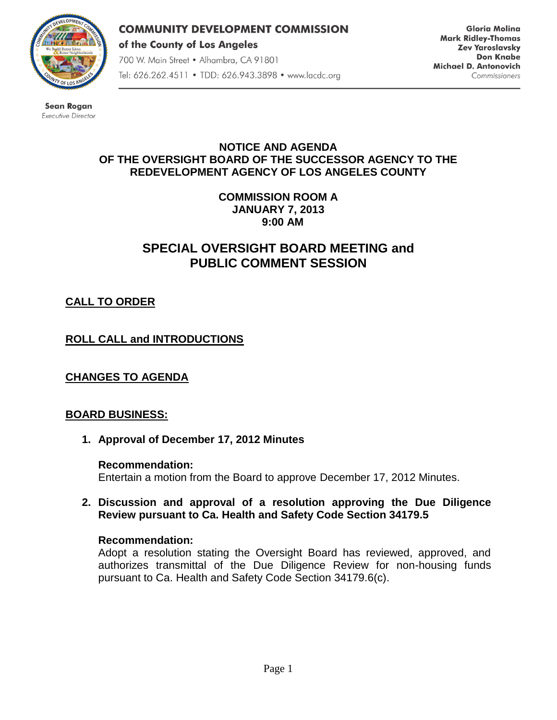

**COMMUNITY DEVELOPMENT COMMISSION** of the County of Los Angeles 700 W. Main Street • Alhambra, CA 91801 Tel: 626.262.4511 • TDD: 626.943.3898 • www.lacdc.org

**Gloria Molina Mark Ridley-Thomas Zev Yaroslavsky Don Knabe** Michael D. Antonovich Commissioners

**Sean Rogan** Executive Director

#### **NOTICE AND AGENDA OF THE OVERSIGHT BOARD OF THE SUCCESSOR AGENCY TO THE REDEVELOPMENT AGENCY OF LOS ANGELES COUNTY**

**COMMISSION ROOM A JANUARY 7, 2013 9:00 AM**

# **SPECIAL OVERSIGHT BOARD MEETING and PUBLIC COMMENT SESSION**

# **CALL TO ORDER**

## **ROLL CALL and INTRODUCTIONS**

**CHANGES TO AGENDA**

## **BOARD BUSINESS:**

**1. Approval of December 17, 2012 Minutes**

**Recommendation:**  Entertain a motion from the Board to approve December 17, 2012 Minutes.

**2. Discussion and approval of a resolution approving the Due Diligence Review pursuant to Ca. Health and Safety Code Section 34179.5**

#### **Recommendation:**

Adopt a resolution stating the Oversight Board has reviewed, approved, and authorizes transmittal of the Due Diligence Review for non-housing funds pursuant to Ca. Health and Safety Code Section 34179.6(c).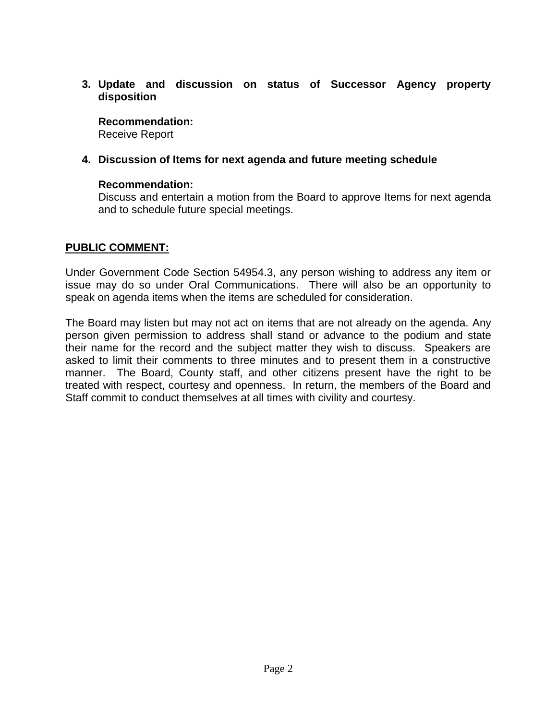**3. Update and discussion on status of Successor Agency property disposition**

#### **Recommendation:**

Receive Report

## **4. Discussion of Items for next agenda and future meeting schedule**

#### **Recommendation:**

Discuss and entertain a motion from the Board to approve Items for next agenda and to schedule future special meetings.

## **PUBLIC COMMENT:**

Under Government Code Section 54954.3, any person wishing to address any item or issue may do so under Oral Communications. There will also be an opportunity to speak on agenda items when the items are scheduled for consideration.

The Board may listen but may not act on items that are not already on the agenda. Any person given permission to address shall stand or advance to the podium and state their name for the record and the subject matter they wish to discuss. Speakers are asked to limit their comments to three minutes and to present them in a constructive manner. The Board, County staff, and other citizens present have the right to be treated with respect, courtesy and openness. In return, the members of the Board and Staff commit to conduct themselves at all times with civility and courtesy.